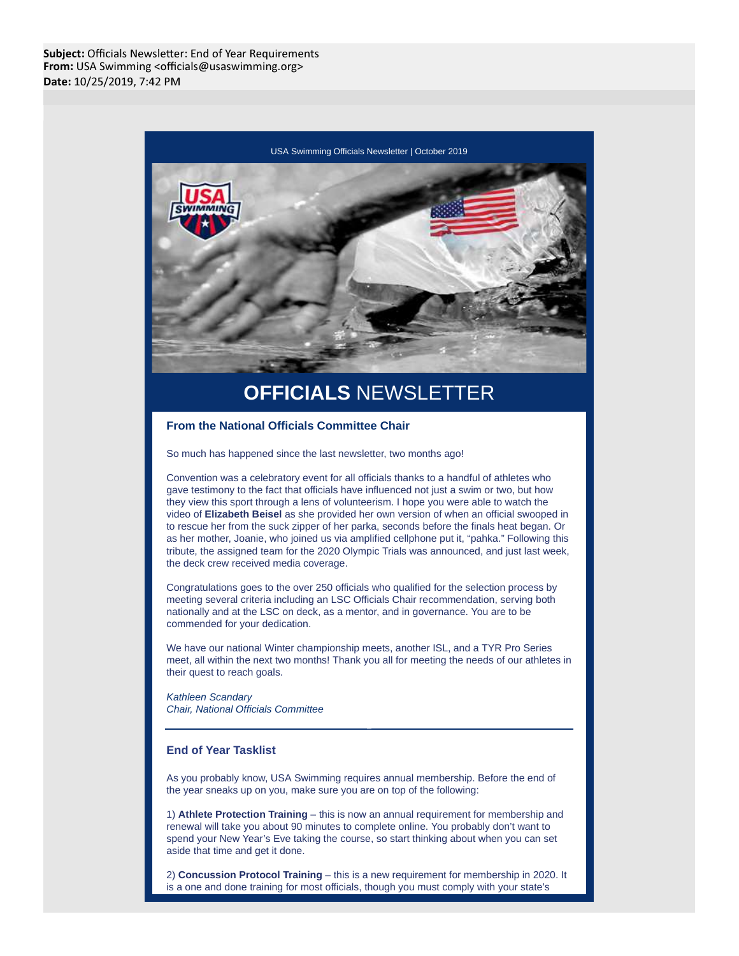Subject: Officials Newsletter: End of Year Requirements From: USA Swimming <officials@usaswimming.org> Date: 10/25/2019, 7:42 PM



# **OFFICIALS** NEWSLETTER

# **From the National Officials Committee Chair**

So much has happened since the last newsletter, two months ago!

Convention was a celebratory event for all officials thanks to a handful of athletes who gave testimony to the fact that officials have influenced not just a swim or two, but how they view this sport through a lens of volunteerism. I hope you were able to watch the video of **Elizabeth Beisel** as she provided her own version of when an official swooped in to rescue her from the suck zipper of her parka, seconds before the finals heat began. Or as her mother, Joanie, who joined us via amplified cellphone put it, "pahka." Following this tribute, the assigned team for the 2020 Olympic Trials was announced, and just last week, the deck crew received media coverage.

Congratulations goes to the over 250 officials who qualified for the selection process by meeting several criteria including an LSC Officials Chair recommendation, serving both nationally and at the LSC on deck, as a mentor, and in governance. You are to be commended for your dedication.

We have our national Winter championship meets, another ISL, and a TYR Pro Series meet, all within the next two months! Thank you all for meeting the needs of our athletes in their quest to reach goals.

Kathleen Scandary Chair, National Officials Committee

# **End of Year Tasklist**

As you probably know, USA Swimming requires annual membership. Before the end of the year sneaks up on you, make sure you are on top of the following:

1) **Athlete Protection Training** – this is now an annual requirement for membership and renewal will take you about 90 minutes to complete online. You probably don't want to spend your New Year's Eve taking the course, so start thinking about when you can set aside that time and get it done.

2) **Concussion Protocol Training** – this is a new requirement for membership in 2020. It is a one and done training for most officials, though you must comply with your state's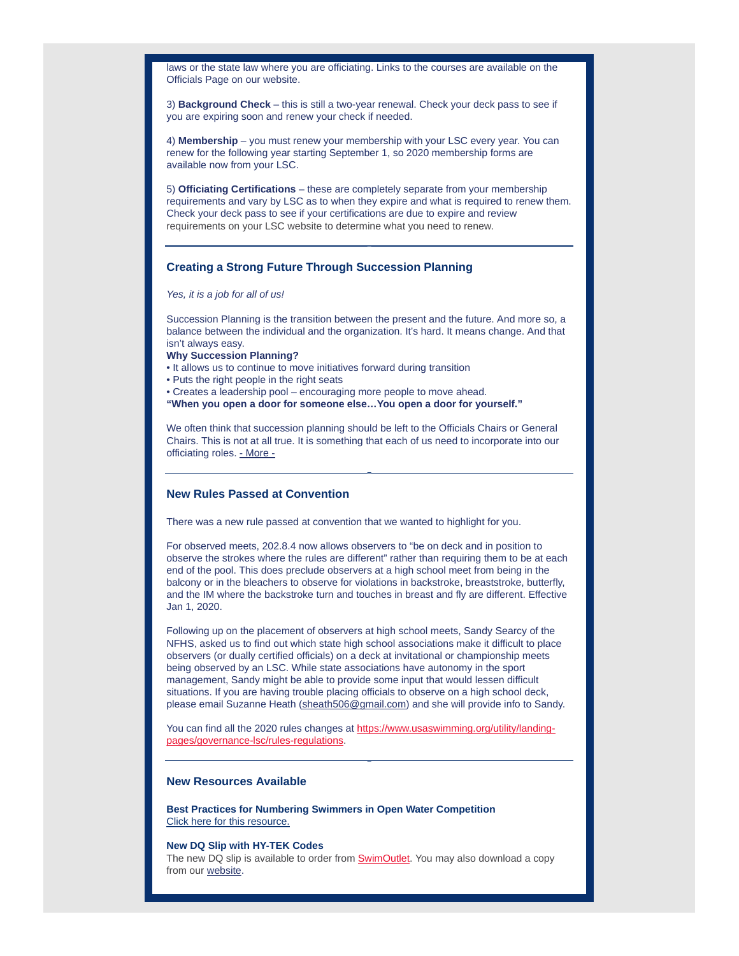laws or the state law where you are officiating. Links to the courses are available on the Officials Page on our website.

3) **Background Check** – this is still a two-year renewal. Check your deck pass to see if you are expiring soon and renew your check if needed.

4) **Membership** – you must renew your membership with your LSC every year. You can renew for the following year starting September 1, so 2020 membership forms are available now from your LSC.

5) **Officiating Certifications** – these are completely separate from your membership requirements and vary by LSC as to when they expire and what is required to renew them. Check your deck pass to see if your certifications are due to expire and review requirements on your LSC website to determine what you need to renew.

## **Creating a Strong Future Through Succession Planning**

Yes, it is a job for all of us!

Succession Planning is the transition between the present and the future. And more so, a balance between the individual and the organization. It's hard. It means change. And that isn't always easy.

- **Why Succession Planning?**
- It allows us to continue to move initiatives forward during transition
- Puts the right people in the right seats
- Creates a leadership pool encouraging more people to move ahead.
- **"When you open a door for someone else…You open a door for yourself."**

We often think that succession planning should be left to the Officials Chairs or General Chairs. This is not at all true. It is something that each of us need to incorporate into our officiating roles. - More -

#### **New Rules Passed at Convention**

There was a new rule passed at convention that we wanted to highlight for you.

For observed meets, 202.8.4 now allows observers to "be on deck and in position to observe the strokes where the rules are different" rather than requiring them to be at each end of the pool. This does preclude observers at a high school meet from being in the balcony or in the bleachers to observe for violations in backstroke, breaststroke, butterfly, and the IM where the backstroke turn and touches in breast and fly are different. Effective Jan 1, 2020.

Following up on the placement of observers at high school meets, Sandy Searcy of the NFHS, asked us to find out which state high school associations make it difficult to place observers (or dually certified officials) on a deck at invitational or championship meets being observed by an LSC. While state associations have autonomy in the sport management, Sandy might be able to provide some input that would lessen difficult situations. If you are having trouble placing officials to observe on a high school deck, please email Suzanne Heath (sheath506@gmail.com) and she will provide info to Sandy.

You can find all the 2020 rules changes at https://www.usaswimming.org/utility/landingpages/governance-lsc/rules-regulations.

#### **New Resources Available**

**Best Practices for Numbering Swimmers in Open Water Competition** Click here for this resource.

#### **New DQ Slip with HY-TEK Codes**

The new DQ slip is available to order from SwimOutlet. You may also download a copy from our website.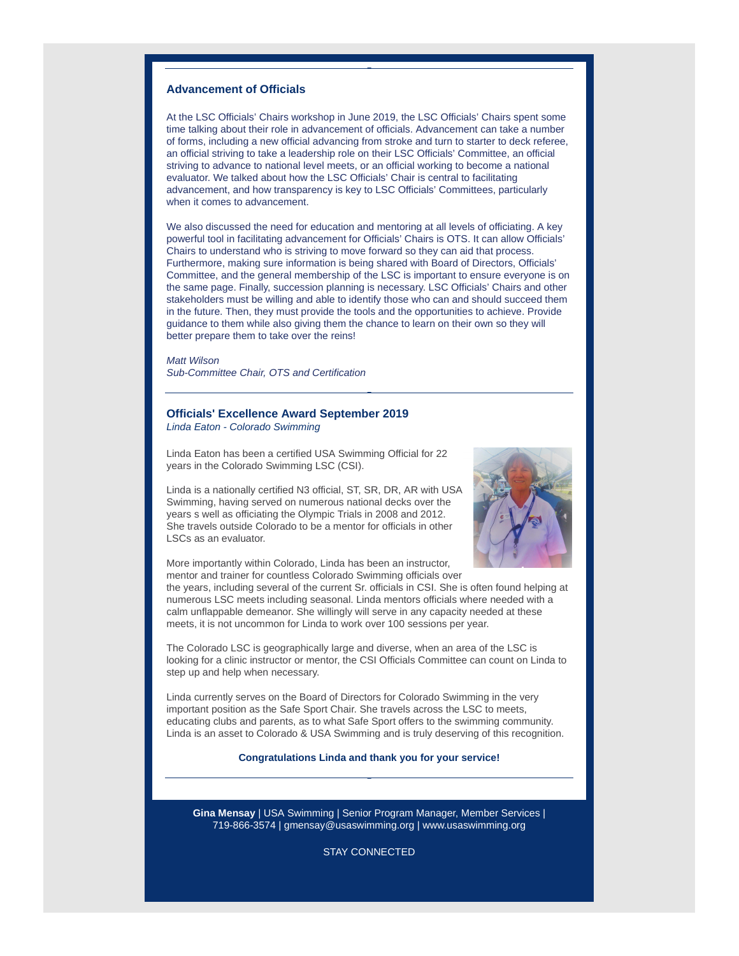#### **Advancement of Officials**

At the LSC Officials' Chairs workshop in June 2019, the LSC Officials' Chairs spent some time talking about their role in advancement of officials. Advancement can take a number of forms, including a new official advancing from stroke and turn to starter to deck referee, an official striving to take a leadership role on their LSC Officials' Committee, an official striving to advance to national level meets, or an official working to become a national evaluator. We talked about how the LSC Officials' Chair is central to facilitating advancement, and how transparency is key to LSC Officials' Committees, particularly when it comes to advancement.

We also discussed the need for education and mentoring at all levels of officiating. A key powerful tool in facilitating advancement for Officials' Chairs is OTS. It can allow Officials' Chairs to understand who is striving to move forward so they can aid that process. Furthermore, making sure information is being shared with Board of Directors, Officials' Committee, and the general membership of the LSC is important to ensure everyone is on the same page. Finally, succession planning is necessary. LSC Officials' Chairs and other stakeholders must be willing and able to identify those who can and should succeed them in the future. Then, they must provide the tools and the opportunities to achieve. Provide guidance to them while also giving them the chance to learn on their own so they will better prepare them to take over the reins!

Matt Wilson Sub-Committee Chair, OTS and Certification

## **Officials' Excellence Award September 2019**

Linda Eaton - Colorado Swimming

Linda Eaton has been a certified USA Swimming Official for 22 years in the Colorado Swimming LSC (CSI).

Linda is a nationally certified N3 official, ST, SR, DR, AR with USA Swimming, having served on numerous national decks over the years s well as officiating the Olympic Trials in 2008 and 2012. She travels outside Colorado to be a mentor for officials in other LSCs as an evaluator.



More importantly within Colorado, Linda has been an instructor, mentor and trainer for countless Colorado Swimming officials over

the years, including several of the current Sr. officials in CSI. She is often found helping at numerous LSC meets including seasonal. Linda mentors officials where needed with a calm unflappable demeanor. She willingly will serve in any capacity needed at these meets, it is not uncommon for Linda to work over 100 sessions per year.

The Colorado LSC is geographically large and diverse, when an area of the LSC is looking for a clinic instructor or mentor, the CSI Officials Committee can count on Linda to step up and help when necessary.

Linda currently serves on the Board of Directors for Colorado Swimming in the very important position as the Safe Sport Chair. She travels across the LSC to meets, educating clubs and parents, as to what Safe Sport offers to the swimming community. Linda is an asset to Colorado & USA Swimming and is truly deserving of this recognition.

**Congratulations Linda and thank you for your service!**

**Gina Mensay** | USA Swimming | Senior Program Manager, Member Services | 719-866-3574 | gmensay@usaswimming.org | www.usaswimming.org

STAY CONNECTED